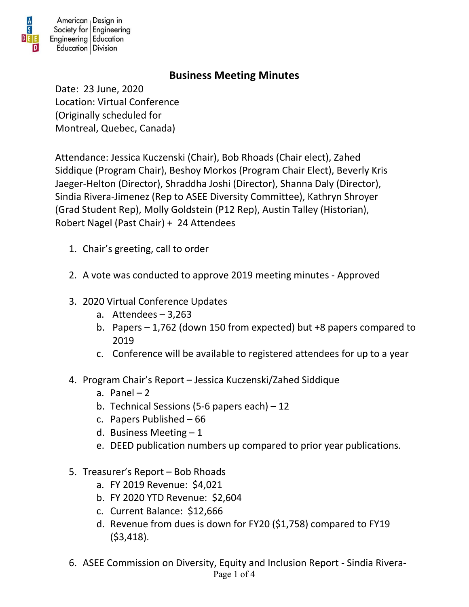

## **Business Meeting Minutes**

Date: 23 June, 2020 Location: Virtual Conference (Originally scheduled for Montreal, Quebec, Canada)

Attendance: Jessica Kuczenski (Chair), Bob Rhoads (Chair elect), Zahed Siddique (Program Chair), Beshoy Morkos (Program Chair Elect), Beverly Kris Jaeger-Helton (Director), Shraddha Joshi (Director), Shanna Daly (Director), Sindia Rivera-Jimenez (Rep to ASEE Diversity Committee), Kathryn Shroyer (Grad Student Rep), Molly Goldstein (P12 Rep), Austin Talley (Historian), Robert Nagel (Past Chair) + 24 Attendees

- 1. Chair's greeting, call to order
- 2. A vote was conducted to approve 2019 meeting minutes Approved
- 3. 2020 Virtual Conference Updates
	- a. Attendees 3,263
	- b. Papers 1,762 (down 150 from expected) but +8 papers compared to 2019
	- c. Conference will be available to registered attendees for up to a year
- 4. Program Chair's Report Jessica Kuczenski/Zahed Siddique
	- a. Panel  $-2$
	- b. Technical Sessions (5-6 papers each) 12
	- c. Papers Published 66
	- d. Business Meeting  $-1$
	- e. DEED publication numbers up compared to prior year publications.
- 5. Treasurer's Report Bob Rhoads
	- a. FY 2019 Revenue: \$4,021
	- b. FY 2020 YTD Revenue: \$2,604
	- c. Current Balance: \$12,666
	- d. Revenue from dues is down for FY20 (\$1,758) compared to FY19 (\$3,418).
- Page 1 of 4 6. ASEE Commission on Diversity, Equity and Inclusion Report - Sindia Rivera-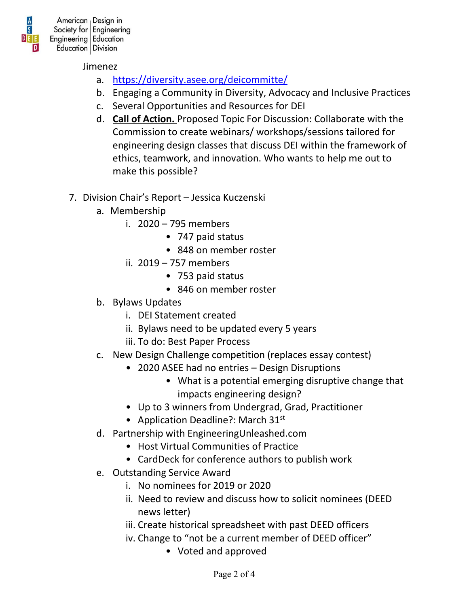

Jimenez

- a. <https://diversity.asee.org/deicommitte/>
- b. Engaging a Community in Diversity, Advocacy and Inclusive Practices
- c. Several Opportunities and Resources for DEI
- d. **Call of Action.** Proposed Topic For Discussion: Collaborate with the Commission to create webinars/ workshops/sessions tailored for engineering design classes that discuss DEI within the framework of ethics, teamwork, and innovation. Who wants to help me out to make this possible?
- 7. Division Chair's Report Jessica Kuczenski
	- a. Membership
		- i. 2020 795 members
			- 747 paid status
			- 848 on member roster
		- ii. 2019 757 members
			- 753 paid status
			- 846 on member roster
	- b. Bylaws Updates
		- i. DEI Statement created
		- ii. Bylaws need to be updated every 5 years
		- iii. To do: Best Paper Process
	- c. New Design Challenge competition (replaces essay contest)
		- 2020 ASEE had no entries Design Disruptions
			- What is a potential emerging disruptive change that impacts engineering design?
		- Up to 3 winners from Undergrad, Grad, Practitioner
		- Application Deadline?: March  $31<sup>st</sup>$
	- d. Partnership with EngineeringUnleashed.com
		- Host Virtual Communities of Practice
		- CardDeck for conference authors to publish work
	- e. Outstanding Service Award
		- i. No nominees for 2019 or 2020
		- ii. Need to review and discuss how to solicit nominees (DEED news letter)
		- iii. Create historical spreadsheet with past DEED officers
		- iv. Change to "not be a current member of DEED officer"
			- Voted and approved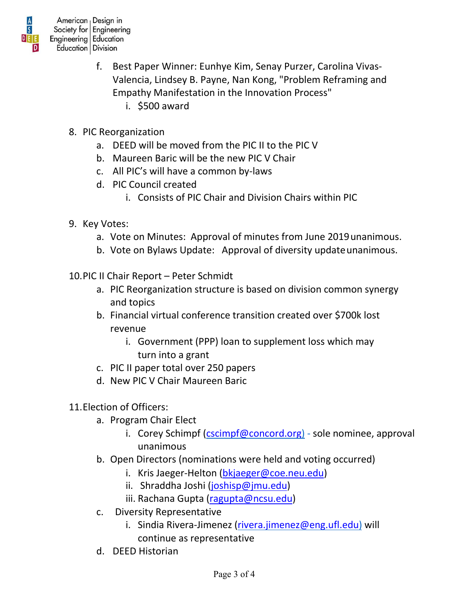

- f. Best Paper Winner: Eunhye Kim, Senay Purzer, Carolina Vivas-Valencia, Lindsey B. Payne, Nan Kong, "Problem Reframing and Empathy Manifestation in the Innovation Process"
	- i. \$500 award
- 8. PIC Reorganization
	- a. DEED will be moved from the PIC II to the PIC V
	- b. Maureen Baric will be the new PIC V Chair
	- c. All PIC's will have a common by-laws
	- d. PIC Council created
		- i. Consists of PIC Chair and Division Chairs within PIC
- 9. Key Votes:
	- a. Vote on Minutes: Approval of minutes from June 2019unanimous.
	- b. Vote on Bylaws Update: Approval of diversity update unanimous.
- 10.PIC II Chair Report Peter Schmidt
	- a. PIC Reorganization structure is based on division common synergy and topics
	- b. Financial virtual conference transition created over \$700k lost revenue
		- i. Government (PPP) loan to supplement loss which may turn into a grant
	- c. PIC II paper total over 250 papers
	- d. New PIC V Chair Maureen Baric
- 11.Election of Officers:
	- a. Program Chair Elect
		- i. Corey Schimpf [\(cscimpf@concord.org\)](mailto:cscimpf@concord.org) sole nominee, approval unanimous
	- b. Open Directors (nominations were held and voting occurred)
		- i. Kris Jaeger-Helton [\(bkjaeger@coe.neu.edu\)](mailto:bkjaeger@coe.neu.edu)
		- ii. Shraddha Joshi [\(joshisp@jmu.edu\)](mailto:joshisp@jmu.edu)
		- iii. Rachana Gupta [\(ragupta@ncsu.edu\)](mailto:ragupta@ncsu.edu)
	- c. Diversity Representative
		- i. Sindia Rivera-Jimenez [\(rivera.jimenez@eng.ufl.edu\)](mailto:rivera.jimenez@eng.ufl.edu) will continue as representative
	- d. DEED Historian